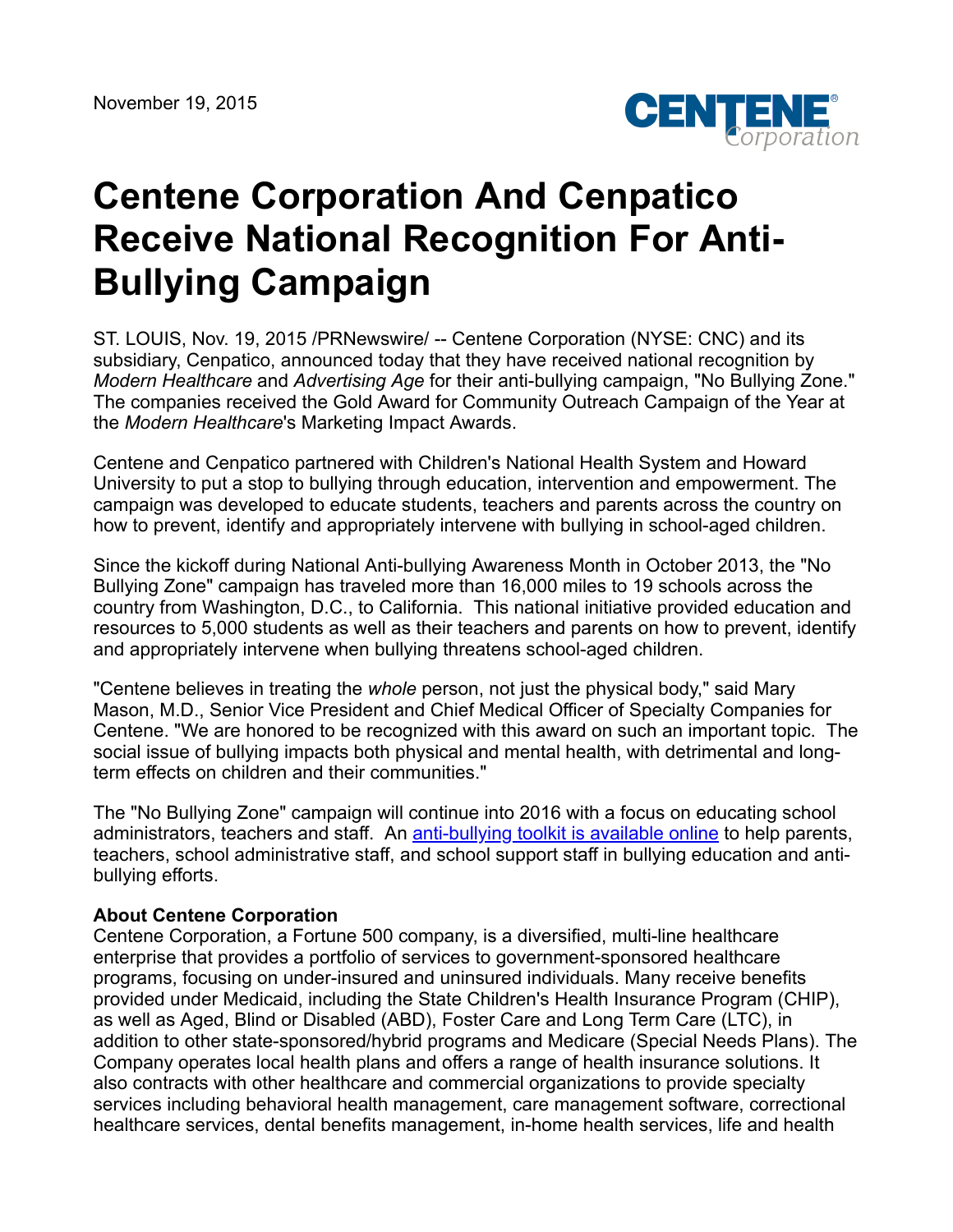

## **Centene Corporation And Cenpatico Receive National Recognition For Anti-Bullying Campaign**

ST. LOUIS, Nov. 19, 2015 /PRNewswire/ -- Centene Corporation (NYSE: CNC) and its subsidiary, Cenpatico, announced today that they have received national recognition by *Modern Healthcare* and *Advertising Age* for their anti-bullying campaign, "No Bullying Zone." The companies received the Gold Award for Community Outreach Campaign of the Year at the *Modern Healthcare*'s Marketing Impact Awards.

Centene and Cenpatico partnered with Children's National Health System and Howard University to put a stop to bullying through education, intervention and empowerment. The campaign was developed to educate students, teachers and parents across the country on how to prevent, identify and appropriately intervene with bullying in school-aged children.

Since the kickoff during National Anti-bullying Awareness Month in October 2013, the "No Bullying Zone" campaign has traveled more than 16,000 miles to 19 schools across the country from Washington, D.C., to California. This national initiative provided education and resources to 5,000 students as well as their teachers and parents on how to prevent, identify and appropriately intervene when bullying threatens school-aged children.

"Centene believes in treating the *whole* person, not just the physical body," said Mary Mason, M.D., Senior Vice President and Chief Medical Officer of Specialty Companies for Centene. "We are honored to be recognized with this award on such an important topic. The social issue of bullying impacts both physical and mental health, with detrimental and longterm effects on children and their communities."

The "No Bullying Zone" campaign will continue into 2016 with a focus on educating school administrators, teachers and staff. An [anti-bullying toolkit is available online](http://www.cenpatico.com/national-anti-bullying-campaign/) to help parents, teachers, school administrative staff, and school support staff in bullying education and antibullying efforts.

## **About Centene Corporation**

Centene Corporation, a Fortune 500 company, is a diversified, multi-line healthcare enterprise that provides a portfolio of services to government-sponsored healthcare programs, focusing on under-insured and uninsured individuals. Many receive benefits provided under Medicaid, including the State Children's Health Insurance Program (CHIP), as well as Aged, Blind or Disabled (ABD), Foster Care and Long Term Care (LTC), in addition to other state-sponsored/hybrid programs and Medicare (Special Needs Plans). The Company operates local health plans and offers a range of health insurance solutions. It also contracts with other healthcare and commercial organizations to provide specialty services including behavioral health management, care management software, correctional healthcare services, dental benefits management, in-home health services, life and health